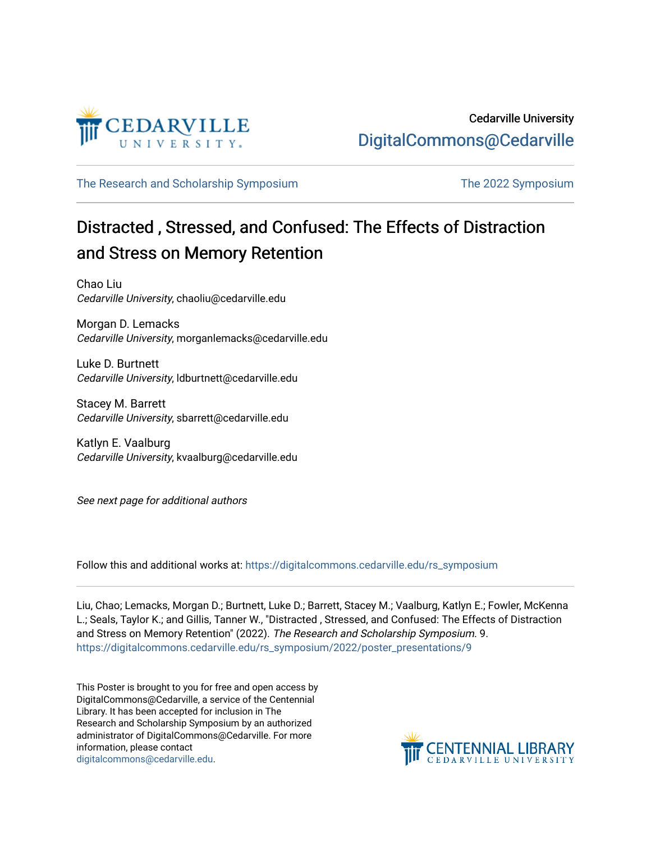

[The Research and Scholarship Symposium](https://digitalcommons.cedarville.edu/rs_symposium) The 2022 Symposium

### Distracted , Stressed, and Confused: The Effects of Distraction and Stress on Memory Retention

Chao Liu Cedarville University, chaoliu@cedarville.edu

Morgan D. Lemacks Cedarville University, morganlemacks@cedarville.edu

Luke D. Burtnett Cedarville University, ldburtnett@cedarville.edu

Stacey M. Barrett Cedarville University, sbarrett@cedarville.edu

Katlyn E. Vaalburg Cedarville University, kvaalburg@cedarville.edu

See next page for additional authors

Follow this and additional works at: [https://digitalcommons.cedarville.edu/rs\\_symposium](https://digitalcommons.cedarville.edu/rs_symposium?utm_source=digitalcommons.cedarville.edu%2Frs_symposium%2F2022%2Fposter_presentations%2F9&utm_medium=PDF&utm_campaign=PDFCoverPages) 

Liu, Chao; Lemacks, Morgan D.; Burtnett, Luke D.; Barrett, Stacey M.; Vaalburg, Katlyn E.; Fowler, McKenna L.; Seals, Taylor K.; and Gillis, Tanner W., "Distracted , Stressed, and Confused: The Effects of Distraction and Stress on Memory Retention" (2022). The Research and Scholarship Symposium. 9. [https://digitalcommons.cedarville.edu/rs\\_symposium/2022/poster\\_presentations/9](https://digitalcommons.cedarville.edu/rs_symposium/2022/poster_presentations/9?utm_source=digitalcommons.cedarville.edu%2Frs_symposium%2F2022%2Fposter_presentations%2F9&utm_medium=PDF&utm_campaign=PDFCoverPages) 

This Poster is brought to you for free and open access by DigitalCommons@Cedarville, a service of the Centennial Library. It has been accepted for inclusion in The Research and Scholarship Symposium by an authorized administrator of DigitalCommons@Cedarville. For more information, please contact [digitalcommons@cedarville.edu](mailto:digitalcommons@cedarville.edu).

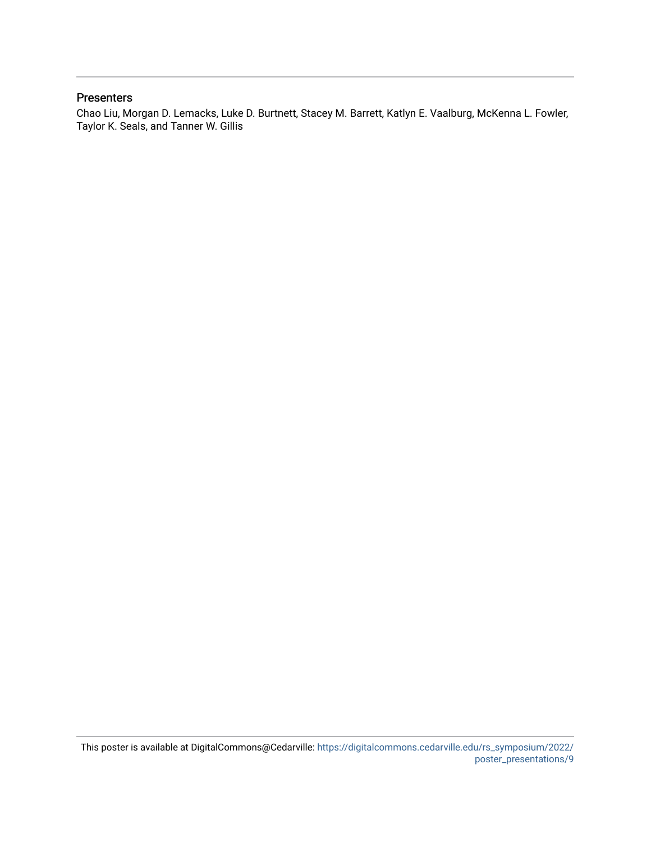#### **Presenters**

Chao Liu, Morgan D. Lemacks, Luke D. Burtnett, Stacey M. Barrett, Katlyn E. Vaalburg, McKenna L. Fowler, Taylor K. Seals, and Tanner W. Gillis

This poster is available at DigitalCommons@Cedarville: [https://digitalcommons.cedarville.edu/rs\\_symposium/2022/](https://digitalcommons.cedarville.edu/rs_symposium/2022/poster_presentations/9) [poster\\_presentations/9](https://digitalcommons.cedarville.edu/rs_symposium/2022/poster_presentations/9)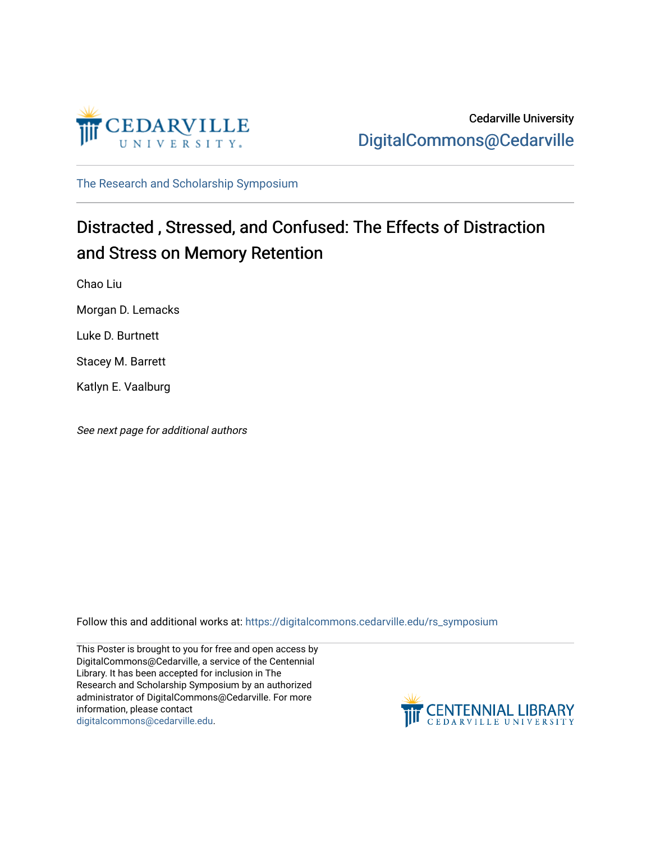

[The Research and Scholarship Symposium](https://digitalcommons.cedarville.edu/rs_symposium) 

### Distracted , Stressed, and Confused: The Effects of Distraction and Stress on Memory Retention

Chao Liu

Morgan D. Lemacks

Luke D. Burtnett

Stacey M. Barrett

Katlyn E. Vaalburg

See next page for additional authors

Follow this and additional works at: [https://digitalcommons.cedarville.edu/rs\\_symposium](https://digitalcommons.cedarville.edu/rs_symposium?utm_source=digitalcommons.cedarville.edu%2Frs_symposium%2F2019%2Fpodium_presentations%2F1&utm_medium=PDF&utm_campaign=PDFCoverPages) 

This Poster is brought to you for free and open access by DigitalCommons@Cedarville, a service of the Centennial Library. It has been accepted for inclusion in The Research and Scholarship Symposium by an authorized administrator of DigitalCommons@Cedarville. For more information, please contact [digitalcommons@cedarville.edu](mailto:digitalcommons@cedarville.edu).

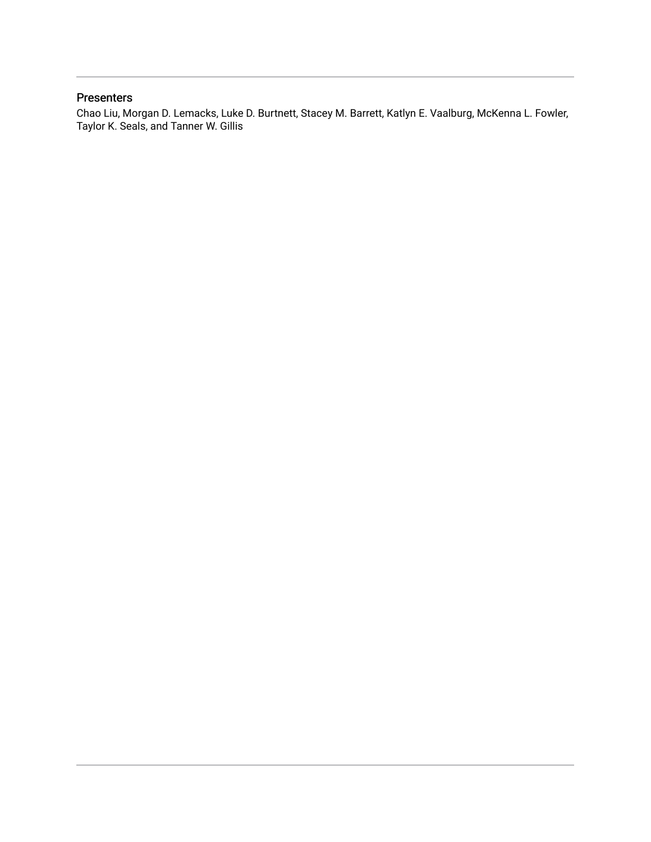#### Presenters

Chao Liu, Morgan D. Lemacks, Luke D. Burtnett, Stacey M. Barrett, Katlyn E. Vaalburg, McKenna L. Fowler, Taylor K. Seals, and Tanner W. Gillis